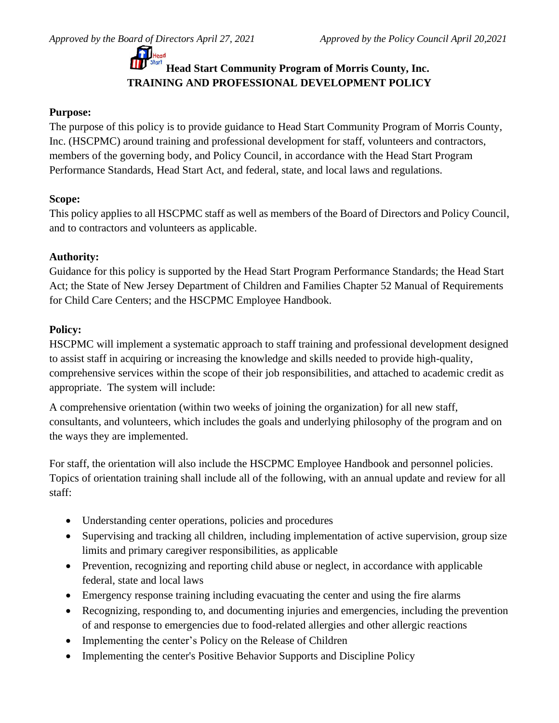# **Head Start Community Program of Morris County, Inc. TRAINING AND PROFESSIONAL DEVELOPMENT POLICY**

## **Purpose:**

The purpose of this policy is to provide guidance to Head Start Community Program of Morris County, Inc. (HSCPMC) around training and professional development for staff, volunteers and contractors, members of the governing body, and Policy Council, in accordance with the Head Start Program Performance Standards, Head Start Act, and federal, state, and local laws and regulations.

### **Scope:**

This policy applies to all HSCPMC staff as well as members of the Board of Directors and Policy Council, and to contractors and volunteers as applicable.

### **Authority:**

Guidance for this policy is supported by the Head Start Program Performance Standards; the Head Start Act; the State of New Jersey Department of Children and Families Chapter 52 Manual of Requirements for Child Care Centers; and the HSCPMC Employee Handbook.

# **Policy:**

HSCPMC will implement a systematic approach to staff training and professional development designed to assist staff in acquiring or increasing the knowledge and skills needed to provide high-quality, comprehensive services within the scope of their job responsibilities, and attached to academic credit as appropriate. The system will include:

A comprehensive orientation (within two weeks of joining the organization) for all new staff, consultants, and volunteers, which includes the goals and underlying philosophy of the program and on the ways they are implemented.

For staff, the orientation will also include the HSCPMC Employee Handbook and personnel policies. Topics of orientation training shall include all of the following, with an annual update and review for all staff:

- Understanding center operations, policies and procedures
- Supervising and tracking all children, including implementation of active supervision, group size limits and primary caregiver responsibilities, as applicable
- Prevention, recognizing and reporting child abuse or neglect, in accordance with applicable federal, state and local laws
- Emergency response training including evacuating the center and using the fire alarms
- Recognizing, responding to, and documenting injuries and emergencies, including the prevention of and response to emergencies due to food-related allergies and other allergic reactions
- Implementing the center's Policy on the Release of Children
- Implementing the center's Positive Behavior Supports and Discipline Policy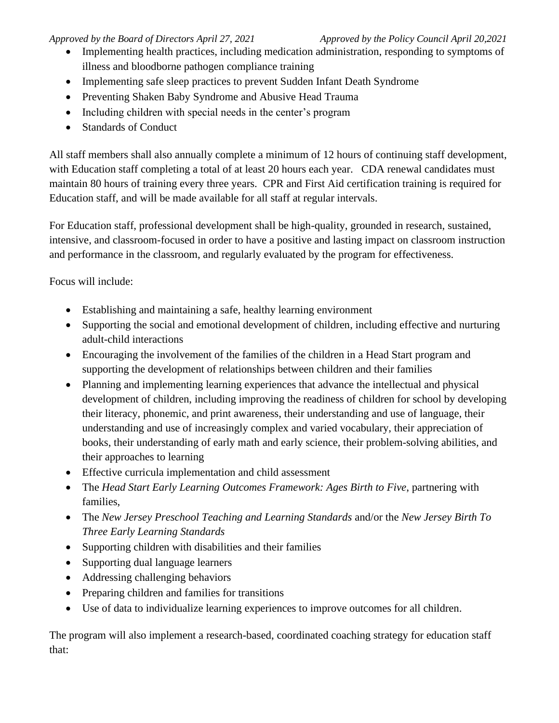- Implementing health practices, including medication administration, responding to symptoms of illness and bloodborne pathogen compliance training
- Implementing safe sleep practices to prevent Sudden Infant Death Syndrome
- Preventing Shaken Baby Syndrome and Abusive Head Trauma
- Including children with special needs in the center's program
- Standards of Conduct

All staff members shall also annually complete a minimum of 12 hours of continuing staff development, with Education staff completing a total of at least 20 hours each year. CDA renewal candidates must maintain 80 hours of training every three years. CPR and First Aid certification training is required for Education staff, and will be made available for all staff at regular intervals.

For Education staff, professional development shall be high-quality, grounded in research, sustained, intensive, and classroom-focused in order to have a positive and lasting impact on classroom instruction and performance in the classroom, and regularly evaluated by the program for effectiveness.

Focus will include:

- Establishing and maintaining a safe, healthy learning environment
- Supporting the social and emotional development of children, including effective and nurturing adult-child interactions
- Encouraging the involvement of the families of the children in a Head Start program and supporting the development of relationships between children and their families
- Planning and implementing learning experiences that advance the intellectual and physical development of children, including improving the readiness of children for school by developing their literacy, phonemic, and print awareness, their understanding and use of language, their understanding and use of increasingly complex and varied vocabulary, their appreciation of books, their understanding of early math and early science, their problem-solving abilities, and their approaches to learning
- Effective curricula implementation and child assessment
- The *Head Start Early Learning Outcomes Framework: Ages Birth to Five*, partnering with families,
- The *New Jersey Preschool Teaching and Learning Standards* and/or the *New Jersey Birth To Three Early Learning Standards*
- Supporting children with disabilities and their families
- Supporting dual language learners
- Addressing challenging behaviors
- Preparing children and families for transitions
- Use of data to individualize learning experiences to improve outcomes for all children.

The program will also implement a research-based, coordinated coaching strategy for education staff that: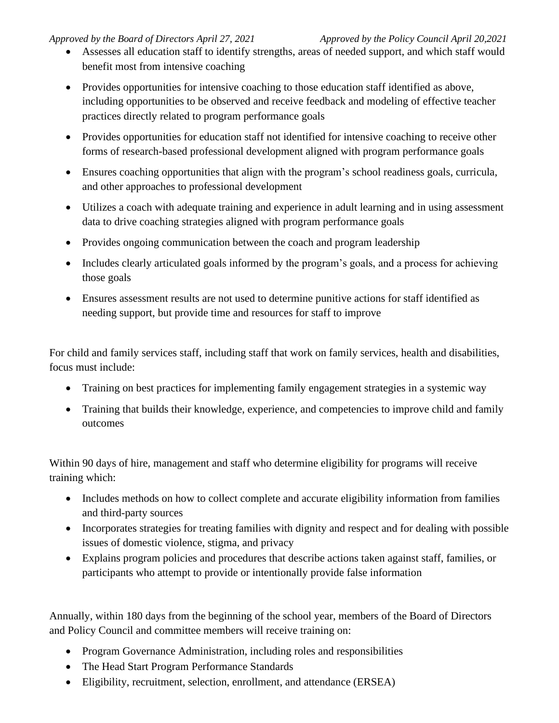- Assesses all education staff to identify strengths, areas of needed support, and which staff would benefit most from intensive coaching
- Provides opportunities for intensive coaching to those education staff identified as above, including opportunities to be observed and receive feedback and modeling of effective teacher practices directly related to program performance goals
- Provides opportunities for education staff not identified for intensive coaching to receive other forms of research-based professional development aligned with program performance goals
- Ensures coaching opportunities that align with the program's [school readiness goals,](https://eclkc.ohs.acf.hhs.gov/policy/45-cfr-chap-xiii/_link) curricula, and other approaches to professional development
- Utilizes a coach with adequate training and experience in adult learning and in using assessment data to drive coaching strategies aligned with program performance goals
- Provides ongoing communication between the coach and program leadership
- Includes clearly articulated goals informed by the program's goals, and a process for achieving those goals
- Ensures assessment results are not used to determine punitive actions for staff identified as needing support, but provide time and resources for staff to improve

For child and family services staff, including staff that work on family services, health and disabilities, focus must include:

- Training on best practices for implementing family engagement strategies in a systemic way
- Training that builds their knowledge, experience, and competencies to improve child and family outcomes

Within 90 days of hire, management and staff who determine eligibility for programs will receive training which:

- Includes methods on how to collect complete and accurate eligibility information from families and third-party sources
- Incorporates strategies for treating families with dignity and respect and for dealing with possible issues of domestic violence, stigma, and privacy
- Explains program policies and procedures that describe actions taken against staff, families, or participants who attempt to provide or intentionally provide false information

Annually, within 180 days from the beginning of the school year, members of the Board of Directors and Policy Council and committee members will receive training on:

- Program Governance Administration, including roles and responsibilities
- The Head Start Program Performance Standards
- Eligibility, recruitment, selection, enrollment, and attendance (ERSEA)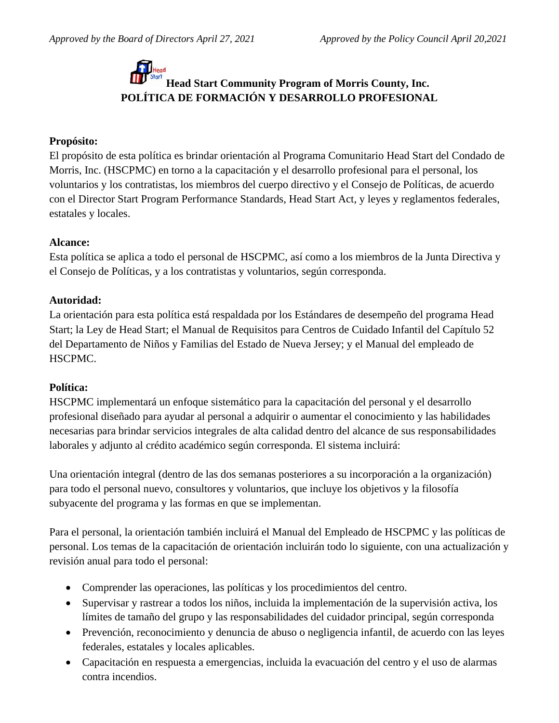# **Head Start Community Program of Morris County, Inc. POLÍTICA DE FORMACIÓN Y DESARROLLO PROFESIONAL**

### **Propósito:**

El propósito de esta política es brindar orientación al Programa Comunitario Head Start del Condado de Morris, Inc. (HSCPMC) en torno a la capacitación y el desarrollo profesional para el personal, los voluntarios y los contratistas, los miembros del cuerpo directivo y el Consejo de Políticas, de acuerdo con el Director Start Program Performance Standards, Head Start Act, y leyes y reglamentos federales, estatales y locales.

### **Alcance:**

Esta política se aplica a todo el personal de HSCPMC, así como a los miembros de la Junta Directiva y el Consejo de Políticas, y a los contratistas y voluntarios, según corresponda.

#### **Autoridad:**

La orientación para esta política está respaldada por los Estándares de desempeño del programa Head Start; la Ley de Head Start; el Manual de Requisitos para Centros de Cuidado Infantil del Capítulo 52 del Departamento de Niños y Familias del Estado de Nueva Jersey; y el Manual del empleado de HSCPMC.

#### **Política:**

HSCPMC implementará un enfoque sistemático para la capacitación del personal y el desarrollo profesional diseñado para ayudar al personal a adquirir o aumentar el conocimiento y las habilidades necesarias para brindar servicios integrales de alta calidad dentro del alcance de sus responsabilidades laborales y adjunto al crédito académico según corresponda. El sistema incluirá:

Una orientación integral (dentro de las dos semanas posteriores a su incorporación a la organización) para todo el personal nuevo, consultores y voluntarios, que incluye los objetivos y la filosofía subyacente del programa y las formas en que se implementan.

Para el personal, la orientación también incluirá el Manual del Empleado de HSCPMC y las políticas de personal. Los temas de la capacitación de orientación incluirán todo lo siguiente, con una actualización y revisión anual para todo el personal:

- Comprender las operaciones, las políticas y los procedimientos del centro.
- Supervisar y rastrear a todos los niños, incluida la implementación de la supervisión activa, los límites de tamaño del grupo y las responsabilidades del cuidador principal, según corresponda
- Prevención, reconocimiento y denuncia de abuso o negligencia infantil, de acuerdo con las leyes federales, estatales y locales aplicables.
- Capacitación en respuesta a emergencias, incluida la evacuación del centro y el uso de alarmas contra incendios.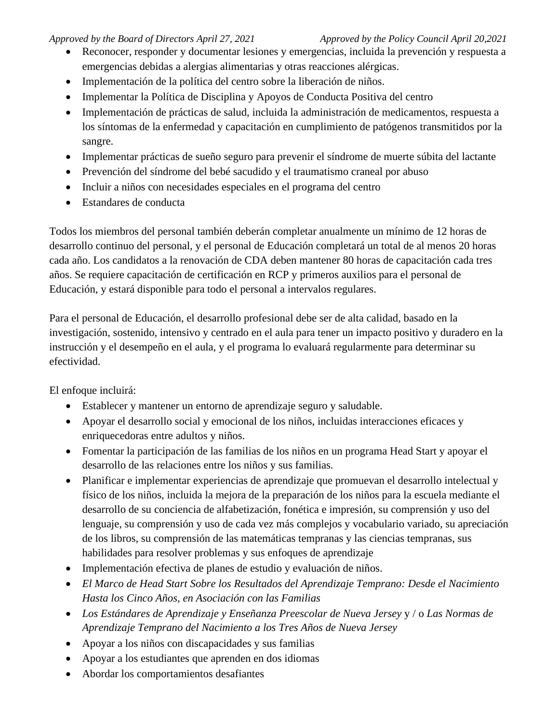- Reconocer, responder y documentar lesiones y emergencias, incluida la prevención y respuesta a emergencias debidas a alergias alimentarias y otras reacciones alérgicas.
- Implementación de la política del centro sobre la liberación de niños.
- Implementar la Política de Disciplina y Apoyos de Conducta Positiva del centro
- Implementación de prácticas de salud, incluida la administración de medicamentos, respuesta a los síntomas de la enfermedad y capacitación en cumplimiento de patógenos transmitidos por la sangre.
- Implementar prácticas de sueño seguro para prevenir el síndrome de muerte súbita del lactante
- Prevención del síndrome del bebé sacudido y el traumatismo craneal por abuso
- Incluir a niños con necesidades especiales en el programa del centro
- Estandares de conducta

Todos los miembros del personal también deberán completar anualmente un mínimo de 12 horas de desarrollo continuo del personal, y el personal de Educación completará un total de al menos 20 horas cada año. Los candidatos a la renovación de CDA deben mantener 80 horas de capacitación cada tres años. Se requiere capacitación de certificación en RCP y primeros auxilios para el personal de Educación, y estará disponible para todo el personal a intervalos regulares.

Para el personal de Educación, el desarrollo profesional debe ser de alta calidad, basado en la investigación, sostenido, intensivo y centrado en el aula para tener un impacto positivo y duradero en la instrucción y el desempeño en el aula, y el programa lo evaluará regularmente para determinar su efectividad.

El enfoque incluirá:

- Establecer y mantener un entorno de aprendizaje seguro y saludable.
- Apoyar el desarrollo social y emocional de los niños, incluidas interacciones eficaces y enriquecedoras entre adultos y niños.
- Fomentar la participación de las familias de los niños en un programa Head Start y apoyar el desarrollo de las relaciones entre los niños y sus familias.
- Planificar e implementar experiencias de aprendizaje que promuevan el desarrollo intelectual y físico de los niños, incluida la mejora de la preparación de los niños para la escuela mediante el desarrollo de su conciencia de alfabetización, fonética e impresión, su comprensión y uso del lenguaje, su comprensión y uso de cada vez más complejos y vocabulario variado, su apreciación de los libros, su comprensión de las matemáticas tempranas y las ciencias tempranas, sus habilidades para resolver problemas y sus enfoques de aprendizaje
- Implementación efectiva de planes de estudio y evaluación de niños.
- *El Marco de Head Start Sobre los Resultados del Aprendizaje Temprano: Desde el Nacimiento Hasta los Cinco Años, en Asociación con las Familias*
- *Los Estándares de Aprendizaje y Enseñanza Preescolar de Nueva Jersey* y / o *Las Normas de Aprendizaje Temprano del Nacimiento a los Tres Años de Nueva Jersey*
- Apoyar a los niños con discapacidades y sus familias
- Apoyar a los estudiantes que aprenden en dos idiomas
- Abordar los comportamientos desafiantes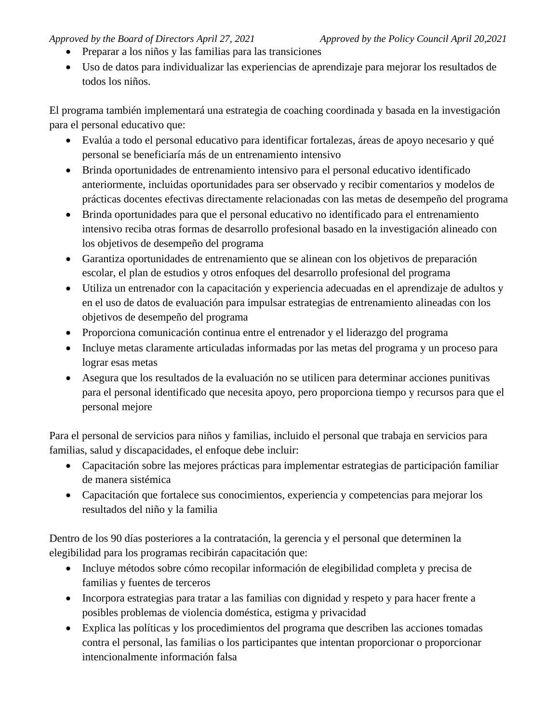- Preparar a los niños y las familias para las transiciones
- Uso de datos para individualizar las experiencias de aprendizaje para mejorar los resultados de todos los niños.

El programa también implementará una estrategia de coaching coordinada y basada en la investigación para el personal educativo que:

- Evalúa a todo el personal educativo para identificar fortalezas, áreas de apoyo necesario y qué personal se beneficiaría más de un entrenamiento intensivo
- Brinda oportunidades de entrenamiento intensivo para el personal educativo identificado anteriormente, incluidas oportunidades para ser observado y recibir comentarios y modelos de prácticas docentes efectivas directamente relacionadas con las metas de desempeño del programa
- Brinda oportunidades para que el personal educativo no identificado para el entrenamiento intensivo reciba otras formas de desarrollo profesional basado en la investigación alineado con los objetivos de desempeño del programa
- Garantiza oportunidades de entrenamiento que se alinean con los objetivos de preparación escolar, el plan de estudios y otros enfoques del desarrollo profesional del programa
- Utiliza un entrenador con la capacitación y experiencia adecuadas en el aprendizaje de adultos y en el uso de datos de evaluación para impulsar estrategias de entrenamiento alineadas con los objetivos de desempeño del programa
- Proporciona comunicación continua entre el entrenador y el liderazgo del programa
- Incluye metas claramente articuladas informadas por las metas del programa y un proceso para lograr esas metas
- Asegura que los resultados de la evaluación no se utilicen para determinar acciones punitivas para el personal identificado que necesita apoyo, pero proporciona tiempo y recursos para que el personal mejore

Para el personal de servicios para niños y familias, incluido el personal que trabaja en servicios para familias, salud y discapacidades, el enfoque debe incluir:

- Capacitación sobre las mejores prácticas para implementar estrategias de participación familiar de manera sistémica
- Capacitación que fortalece sus conocimientos, experiencia y competencias para mejorar los resultados del niño y la familia

Dentro de los 90 días posteriores a la contratación, la gerencia y el personal que determinen la elegibilidad para los programas recibirán capacitación que:

- Incluye métodos sobre cómo recopilar información de elegibilidad completa y precisa de familias y fuentes de terceros
- Incorpora estrategias para tratar a las familias con dignidad y respeto y para hacer frente a posibles problemas de violencia doméstica, estigma y privacidad
- Explica las políticas y los procedimientos del programa que describen las acciones tomadas contra el personal, las familias o los participantes que intentan proporcionar o proporcionar intencionalmente información falsa